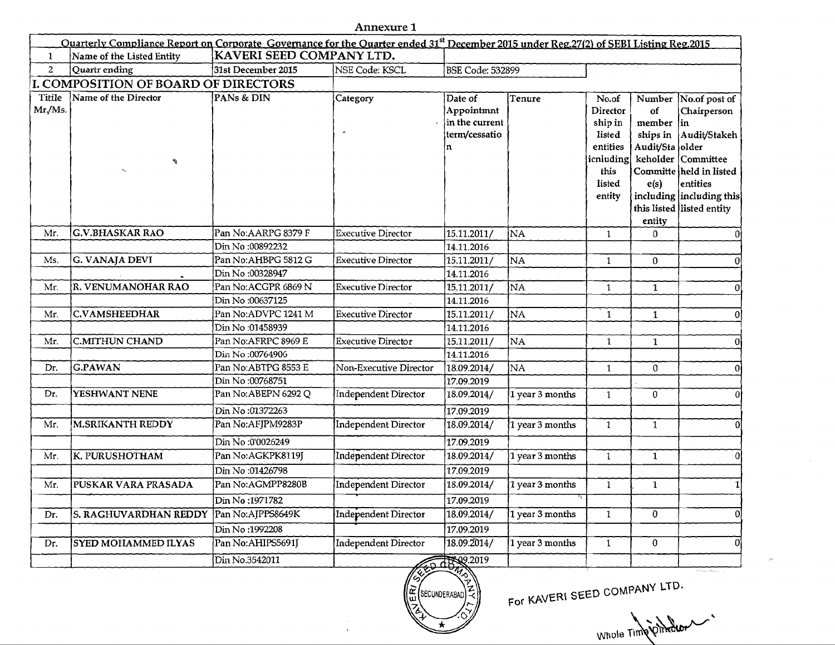| Ouarterly Compliance Report on Corporate Governance for the Ouarter ended 31 <sup>st</sup> December 2015 under Reg.27(2) of SEBI Listing Reg.2015 |                                                       |                      |                             |                         |                 |                    |                 |                                               |
|---------------------------------------------------------------------------------------------------------------------------------------------------|-------------------------------------------------------|----------------------|-----------------------------|-------------------------|-----------------|--------------------|-----------------|-----------------------------------------------|
| $\mathbf{1}$                                                                                                                                      | KAVERI SEED COMPANY LTD.<br>Name of the Listed Entity |                      |                             |                         |                 |                    |                 |                                               |
| $\overline{2}$                                                                                                                                    | Quartr ending                                         | 31st December 2015   | NSE Code: KSCL              | <b>BSE Code: 532899</b> |                 |                    |                 |                                               |
| I. COMPOSITION OF BOARD OF DIRECTORS                                                                                                              |                                                       |                      |                             |                         |                 |                    |                 |                                               |
| Titile                                                                                                                                            | Name of the Director                                  | PANs & DIN           | Category                    | Date of                 | Tenure          | No.of              |                 | Number No.of post of                          |
| Mr./Ms.                                                                                                                                           |                                                       |                      |                             | Appointmnt              |                 | Director           | of              | Chairperson                                   |
|                                                                                                                                                   |                                                       |                      |                             | in the current          |                 | ship in            | member in       |                                               |
|                                                                                                                                                   |                                                       |                      |                             | term/cessatio           |                 | listed             |                 | ships in Audit/Stakeh                         |
|                                                                                                                                                   |                                                       |                      |                             |                         |                 | entities           | Audit/Sta older |                                               |
|                                                                                                                                                   | A                                                     |                      |                             |                         |                 | icnluding <br>this |                 | keholder Committee<br>Committe held in listed |
|                                                                                                                                                   |                                                       |                      |                             |                         |                 | listed             | e(s)            | entities                                      |
|                                                                                                                                                   |                                                       |                      |                             |                         |                 | entity             |                 | including including this                      |
|                                                                                                                                                   |                                                       |                      |                             |                         |                 |                    |                 | this listed listed entity                     |
|                                                                                                                                                   |                                                       |                      |                             |                         |                 |                    | entity          |                                               |
| Mr.                                                                                                                                               | <b>G.V.BHASKAR RAO</b>                                | Pan No: AARPG 8379 F | Executive Director          | 15.11.2011/             | NA              | $\mathbf{1}$       | $\mathbf{0}$    | 0                                             |
|                                                                                                                                                   |                                                       | Din No:00892232      |                             | 14.11.2016              |                 |                    |                 |                                               |
| Ms.                                                                                                                                               | G. VANAJA DEVI                                        | Pan No: AHBPG 5812 G | <b>Executive Director</b>   | 15.11.2011/             | NA              | $\mathbf{1}$       | $\mathbf{0}$    | $\mathbf{0}$                                  |
|                                                                                                                                                   |                                                       | Din No:00328947      |                             | 14.11.2016              |                 |                    |                 |                                               |
| Mr.                                                                                                                                               | R. VENUMANOHAR RAO                                    | Pan No:ACGPR 6869 N  | <b>Executive Director</b>   | 15.11.2011/             | NA              | $\mathbf{1}$       | $\mathbf{1}$    | $\mathbf{0}$                                  |
|                                                                                                                                                   |                                                       | Din No:00637125      |                             | 14.11.2016              |                 |                    |                 |                                               |
| Mr.                                                                                                                                               | C.VAMSHEEDHAR                                         | Pan No:ADVPC 1241 M  | <b>Executive Director</b>   | 15.11.2011/             | NA              | $\mathbf{1}$       | $\mathbf{1}$    | $\boldsymbol{0}$                              |
|                                                                                                                                                   |                                                       | Din No:01458939      |                             | 14.11.2016              |                 |                    |                 |                                               |
| Mr.                                                                                                                                               | <b>C.MITHUN CHAND</b>                                 | Pan No:AFRPC 8969 E  | <b>Executive Director</b>   | 15.11.2011/             | NA              | $\mathbf{1}$       | $\mathbf{1}$    | 0                                             |
|                                                                                                                                                   |                                                       | Din No:00764906      |                             | 14.11.2016              |                 |                    |                 |                                               |
| Dr.                                                                                                                                               | G.PAWAN                                               | Pan No:ABTPG 8553 E  | Non-Executive Director      | 18.09.2014/             | NA              | $\mathbf{1}$       | $\pmb{0}$       | $\overline{0}$                                |
|                                                                                                                                                   |                                                       | Din No:00768751      |                             | 17.09.2019              |                 |                    |                 |                                               |
| Dr.                                                                                                                                               | YESHWANT NENE                                         | Pan No: ABEPN 6292 Q | Independent Director        | 18.09.2014/             | 1 year 3 months | $\mathbf{1}$       | $\overline{0}$  | $\overline{0}$                                |
|                                                                                                                                                   |                                                       | Din No:01372263      |                             | 17.09.2019              |                 |                    |                 |                                               |
| Mr.                                                                                                                                               | <b>M.SRIKANTH REDDY</b>                               | Pan No:AFJPM9283P    | Independent Director        | 18.09.2014/             | 1 year 3 months | $\mathbf{1}$       | $\mathbf{1}$    | οl                                            |
|                                                                                                                                                   |                                                       | Din No:0'0026249     |                             | 17.09.2019              |                 |                    |                 |                                               |
| Mr.                                                                                                                                               | <b>K. PURUSHOTHAM</b>                                 | Pan No:AGKPK8119J    | Independent Director        | 18.09.2014/             | 1 year 3 months | $\overline{1}$     | $\mathbf{1}$    | 0l                                            |
|                                                                                                                                                   |                                                       | Din No:01426798      |                             | 17.09.2019              |                 |                    |                 |                                               |
| Mr.                                                                                                                                               | PUSKAR VARA PRASADA                                   | Pan No:AGMPP8280B    | <b>Independent Director</b> | 18.09.2014/             | 1 year 3 months | $\mathbf{1}$       | $\mathbf{1}$    | $\mathbf{1}$                                  |
|                                                                                                                                                   |                                                       | Din No:1971782       |                             | 17.09.2019              |                 |                    |                 |                                               |
| Dr.                                                                                                                                               | S. RAGHUVARDHAN REDDY                                 | Pan No:AJPPS8649K    | Independent Director        | 18.09.2014/             | 1 year 3 months | $\mathbf{1}$       | $\overline{0}$  | $\overline{0}$                                |
|                                                                                                                                                   |                                                       | Din No:1992208       |                             | 17.09.2019              |                 |                    |                 |                                               |
| Dr.                                                                                                                                               | SYED MOHAMMED ILYAS                                   | Pan No: AHIPS5691J   | Independent Director        | 18.09.2014/             | 1 year 3 months | $\overline{1}$     | $\overline{0}$  | $\overline{0}$                                |
|                                                                                                                                                   |                                                       | Din No.3542011       |                             | 1899.2019               |                 |                    |                 |                                               |
|                                                                                                                                                   |                                                       |                      | #52                         |                         |                 |                    |                 |                                               |



For KAVERI SEED COMPANY LTD.

Whole Time Offence  $\sim$ 

 $\sim$ 

Annexure 1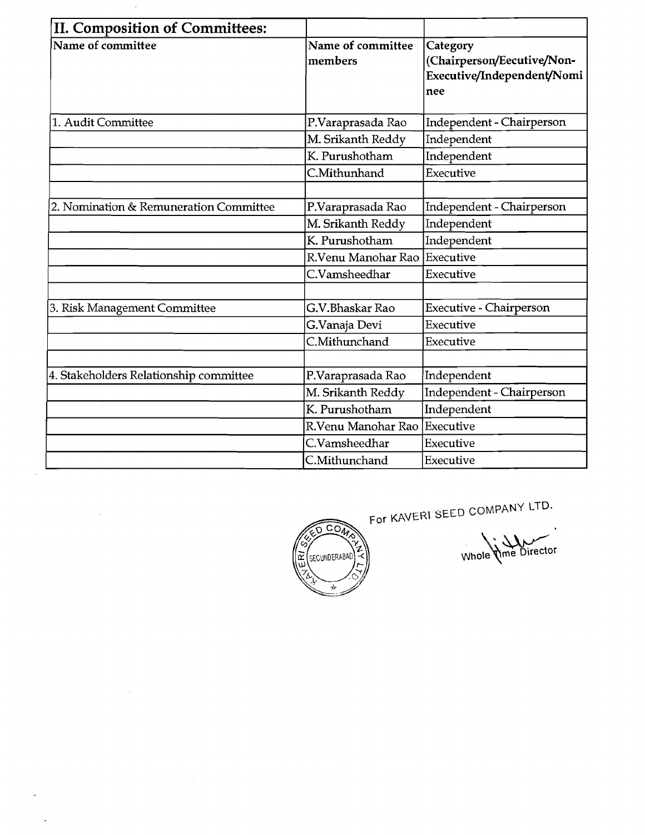| II. Composition of Committees:         |                              |                                                                             |
|----------------------------------------|------------------------------|-----------------------------------------------------------------------------|
| Name of committee                      | Name of committee<br>members | Category<br>(Chairperson/Eecutive/Non-<br>Executive/Independent/Nomi<br>nee |
| 1. Audit Committee                     | P.Varaprasada Rao            | Independent - Chairperson                                                   |
|                                        | M. Srikanth Reddy            | Independent                                                                 |
|                                        | K. Purushotham               | Independent                                                                 |
|                                        | C.Mithunhand                 | Executive                                                                   |
|                                        |                              |                                                                             |
| 2. Nomination & Remuneration Committee | P.Varaprasada Rao            | Independent - Chairperson                                                   |
|                                        | M. Srikanth Reddy            | Independent                                                                 |
|                                        | K. Purushotham               | Independent                                                                 |
|                                        | R.Venu Manohar Rao           | Executive                                                                   |
|                                        | C.Vamsheedhar                | Executive                                                                   |
|                                        |                              |                                                                             |
| 3. Risk Management Committee           | G.V.Bhaskar Rao              | Executive - Chairperson                                                     |
|                                        | G.Vanaja Devi                | Executive                                                                   |
|                                        | C.Mithunchand                | Executive                                                                   |
|                                        |                              |                                                                             |
| 4. Stakeholders Relationship committee | P.Varaprasada Rao            | Independent                                                                 |
|                                        | M. Srikanth Reddy            | Independent - Chairperson                                                   |
|                                        | K. Purushotham               | Independent                                                                 |
|                                        | R.Venu Manohar Rao           | Executive                                                                   |
|                                        | C.Vamsheedhar                | Executive                                                                   |
|                                        | C.Mithunchand                | Executive                                                                   |

 $\hat{\mathcal{A}}$ 

 $\hat{\boldsymbol{\beta}}$ 

 $\sim 10^{-1}$ 

 $\mathbb{R}^2$ 

 $\sim$ 



For KAVERI SEED COMPANY LTD.

Whole Vime Director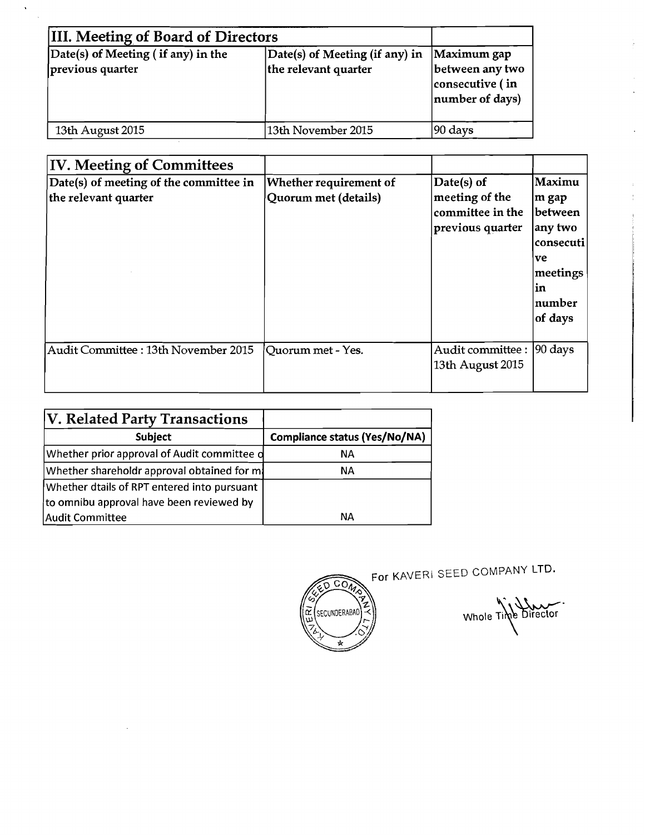| <b>IIII. Meeting of Board of Directors</b>               |                                                        |                                                                      |
|----------------------------------------------------------|--------------------------------------------------------|----------------------------------------------------------------------|
| $Date(s)$ of Meeting (if any) in the<br>previous quarter | Date(s) of Meeting (if any) in<br>the relevant quarter | Maximum gap<br>between any two<br>consecutive (in<br>number of days) |
| 13th August 2015                                         | 13th November 2015                                     | 90 days                                                              |

 $\hat{\mathbf{v}}$  $\ddot{\phantom{a}}$ 

| <b>IV. Meeting of Committees</b>                               |                                                |                                                                       |                                                                                                     |
|----------------------------------------------------------------|------------------------------------------------|-----------------------------------------------------------------------|-----------------------------------------------------------------------------------------------------|
| Date(s) of meeting of the committee in<br>the relevant quarter | Whether requirement of<br>Quorum met (details) | Date(s) of<br>meeting of the<br> committee in the<br>previous quarter | Maximu<br>m gap<br> between<br>any two<br> consecuti <br>ve<br>meetings<br>in<br> number<br>of days |
| Audit Committee : 13th November 2015                           | Quorum met - Yes.                              | Audit committee :<br>13th August 2015                                 | $ 90 \text{ days} $                                                                                 |

| <b>V. Related Party Transactions</b>        |                               |
|---------------------------------------------|-------------------------------|
| <b>Subject</b>                              | Compliance status (Yes/No/NA) |
| Whether prior approval of Audit committee d | NА                            |
| Whether shareholdr approval obtained for m  | NА                            |
| Whether dtails of RPT entered into pursuant |                               |
| to omnibu approval have been reviewed by    |                               |
| Audit Committee                             | NΑ                            |



For KAVERI SEED COMPANY LTD.

Whole Time Director